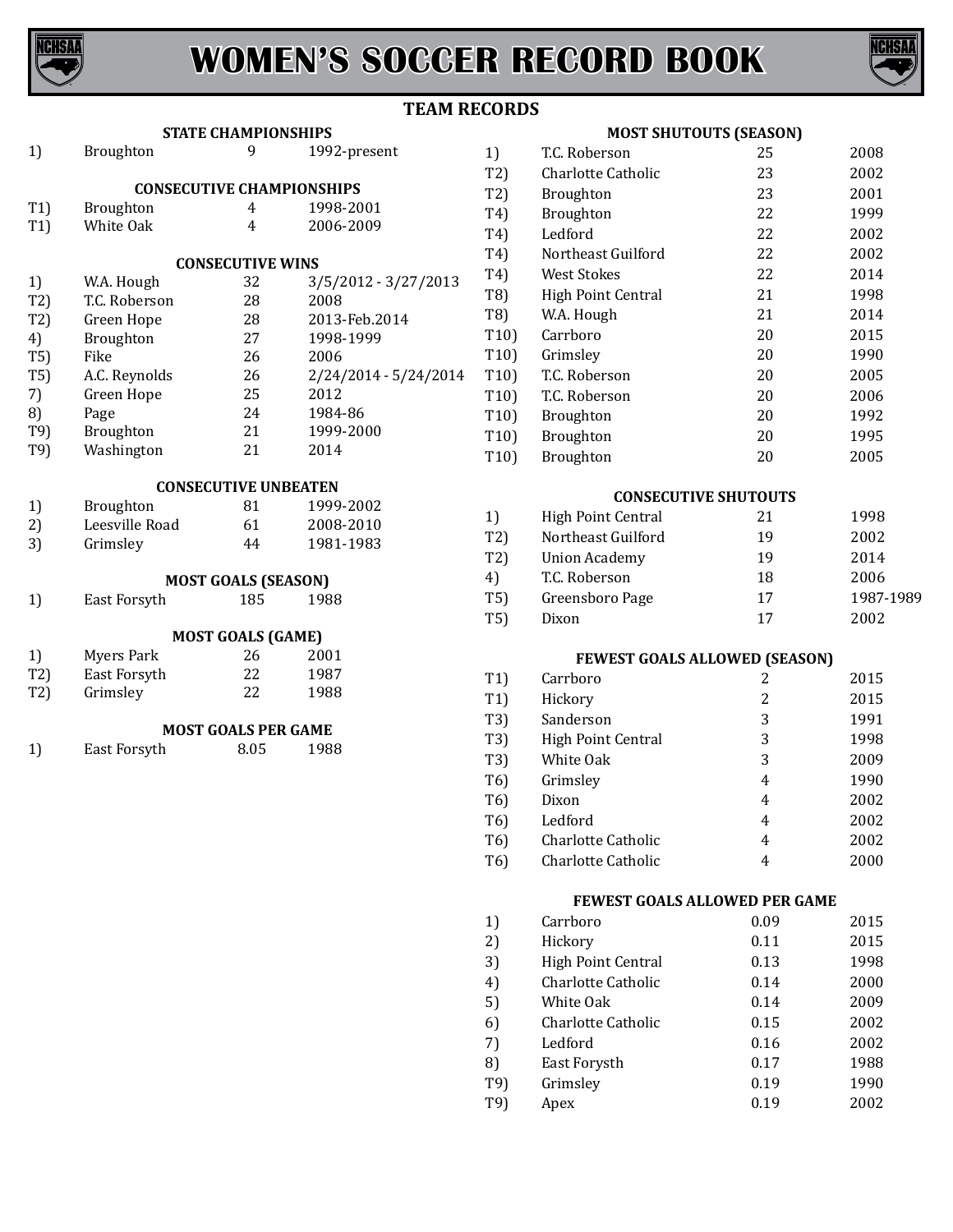

# **WOMEN'S SOCCER RECORD BOOK**



## **TEAM RECORDS**

|     |                | <b>STATE CHAMPIONSHIPS</b>       |                       |
|-----|----------------|----------------------------------|-----------------------|
| 1)  | Broughton      | 9                                | 1992-present          |
|     |                | <b>CONSECUTIVE CHAMPIONSHIPS</b> |                       |
| T1) | Broughton      | 4 <sup>1</sup>                   | 1998-2001             |
| T1) | White Oak      | $\overline{4}$                   | 2006-2009             |
|     |                | <b>CONSECUTIVE WINS</b>          |                       |
| 1)  | W.A. Hough     | 32                               | 3/5/2012 - 3/27/2013  |
| T2) | T.C. Roberson  | 28                               | 2008                  |
| T2) | Green Hope     | 28                               | 2013-Feb.2014         |
| 4)  | Broughton      | 27                               | 1998-1999             |
| T5) | Fike           | 26                               | 2006                  |
|     |                | 26                               |                       |
| T5) | A.C. Reynolds  |                                  | 2/24/2014 - 5/24/2014 |
| 7)  | Green Hope     | 25                               | 2012                  |
| 8)  | Page           | 24                               | 1984-86               |
| T9) | Broughton      | 21                               | 1999-2000             |
| T9) | Washington     | 21                               | 2014                  |
|     |                | <b>CONSECUTIVE UNBEATEN</b>      |                       |
| 1)  | Broughton      | 81 — 10                          | 1999-2002             |
| 2)  | Leesville Road | 61                               | 2008-2010             |
| 3)  | Grimsley       | 44                               | 1981-1983             |
|     |                | <b>MOST GOALS (SEASON)</b>       |                       |
| 1)  | East Forsyth   | 185                              | 1988                  |
|     |                |                                  |                       |
|     |                | <b>MOST GOALS (GAME)</b><br>26   |                       |
| 1)  | Myers Park     |                                  | 2001                  |
| T2) | East Forsyth   | 22                               | 1987                  |
| T2) | Grimsley       | 22                               | 1988                  |
|     |                | <b>MOST GOALS PER GAME</b>       |                       |
| 1)  | East Forsyth   | 8.05                             | 1988                  |
|     |                |                                  |                       |
|     |                |                                  |                       |
|     |                |                                  |                       |
|     |                |                                  |                       |
|     |                |                                  |                       |
|     |                |                                  |                       |
|     |                |                                  |                       |
|     |                |                                  |                       |
|     |                |                                  |                       |
|     |                |                                  |                       |
|     |                |                                  |                       |
|     |                |                                  |                       |

#### **MOST SHUTOUTS (SEASON)**

| 1)                | T.C. Roberson      | 25 | 2008 |
|-------------------|--------------------|----|------|
| T2)               | Charlotte Catholic | 23 | 2002 |
| T2)               | <b>Broughton</b>   | 23 | 2001 |
| T4)               | <b>Broughton</b>   | 22 | 1999 |
| T4)               | Ledford            | 22 | 2002 |
| T4)               | Northeast Guilford | 22 | 2002 |
| T4)               | West Stokes        | 22 | 2014 |
| T8)               | High Point Central | 21 | 1998 |
| T8)               | W.A. Hough         | 21 | 2014 |
| T <sub>10</sub> ) | Carrboro           | 20 | 2015 |
| T <sub>10</sub> ) | Grimsley           | 20 | 1990 |
| T <sub>10</sub> ) | T.C. Roberson      | 20 | 2005 |
| T <sub>10</sub> ) | T.C. Roberson      | 20 | 2006 |
| T10)              | <b>Broughton</b>   | 20 | 1992 |
| T <sub>10</sub> ) | Broughton          | 20 | 1995 |
| T10)              | <b>Broughton</b>   | 20 | 2005 |
|                   |                    |    |      |

#### **CONSECUTIVE SHUTOUTS**

| 1)  | High Point Central   | 21 | 1998      |
|-----|----------------------|----|-----------|
| T2) | Northeast Guilford   | 19 | 2002      |
| T2) | <b>Union Academy</b> | 19 | 2014      |
| 4)  | T.C. Roberson        | 18 | 2006      |
| T5) | Greensboro Page      | 17 | 1987-1989 |
| T5) | Dixon                | 17 | 2002      |

### **FEWEST GOALS ALLOWED (SEASON)**

| T <sub>1</sub> ) | Carrboro           | 2 | 2015 |
|------------------|--------------------|---|------|
| T <sub>1</sub> ) | Hickory            | 2 | 2015 |
| T3)              | Sanderson          | 3 | 1991 |
| T3)              | High Point Central | 3 | 1998 |
| T3)              | White Oak          | 3 | 2009 |
| T6)              | Grimsley           | 4 | 1990 |
| T6)              | Dixon              | 4 | 2002 |
| T6)              | Ledford            | 4 | 2002 |
| T6)              | Charlotte Catholic | 4 | 2002 |
| T6)              | Charlotte Catholic | 4 | 2000 |
|                  |                    |   |      |

#### **FEWEST GOALS ALLOWED PER GAME**

| 1)  | Carrboro           | 0.09 | 2015 |
|-----|--------------------|------|------|
| 2)  | Hickory            | 0.11 | 2015 |
| 3)  | High Point Central | 0.13 | 1998 |
| 4)  | Charlotte Catholic | 0.14 | 2000 |
| 5)  | White Oak          | 0.14 | 2009 |
| 6)  | Charlotte Catholic | 0.15 | 2002 |
| 7)  | Ledford            | 0.16 | 2002 |
| 8)  | East Forysth       | 0.17 | 1988 |
| T9) | Grimsley           | 0.19 | 1990 |
| T9) | Apex               | 0.19 | 2002 |
|     |                    |      |      |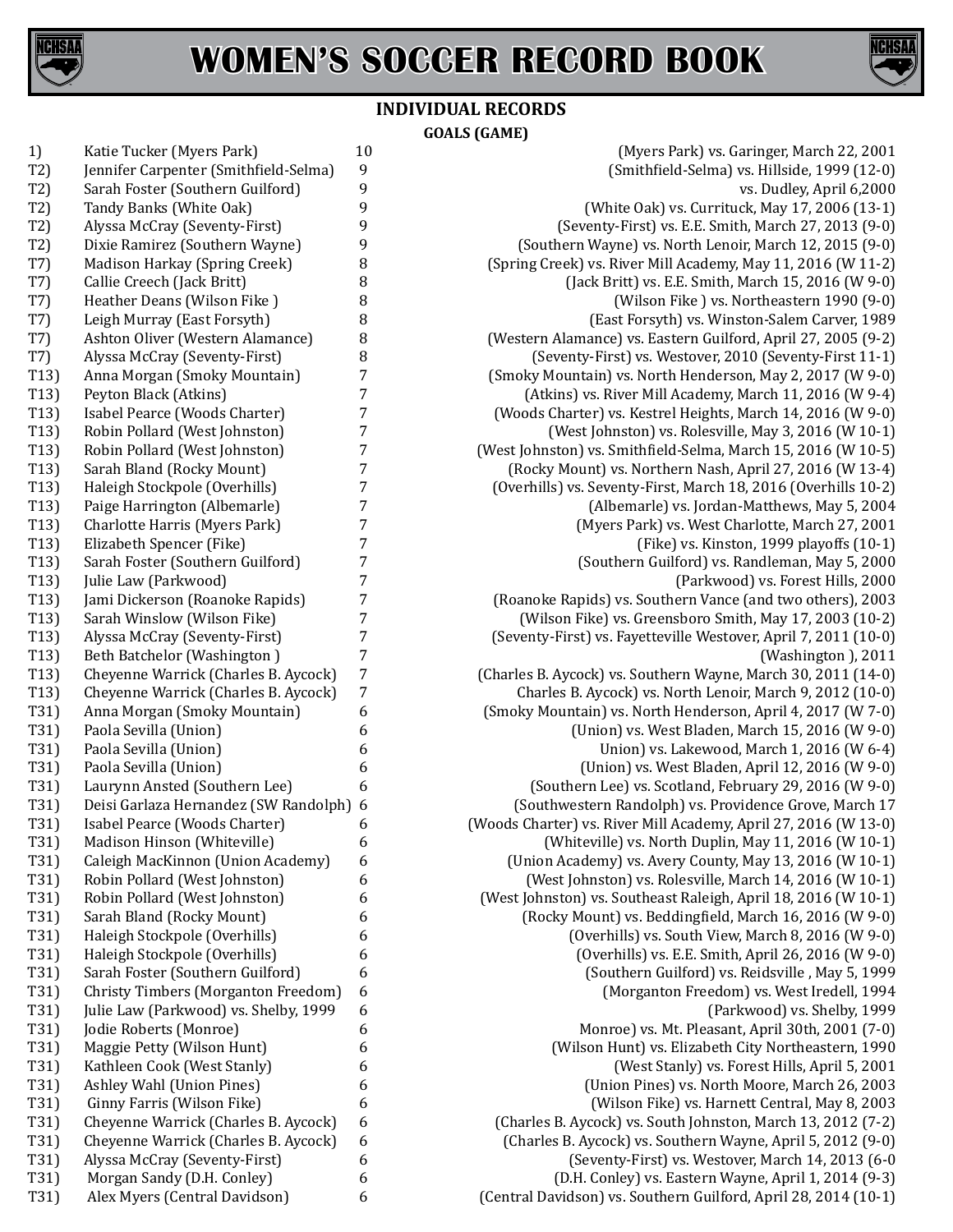



## **INDIVIDUAL RECORDS GOALS (GAME)**

| 1)                |                                       |    |
|-------------------|---------------------------------------|----|
|                   | Katie Tucker (Myers Park)             | 10 |
| T2)               | Jennifer Carpenter (Smithfield-Selma) | 9  |
| T2)               | Sarah Foster (Southern Guilford)      | 9  |
| T2)               | Tandy Banks (White Oak)               | 9  |
| T2)               | Alyssa McCray (Seventy-First)         | 9  |
| T2)               | Dixie Ramirez (Southern Wayne)        | 9  |
| T7)               | Madison Harkay (Spring Creek)         | 8  |
| T7)               | Callie Creech (Jack Britt)            | 8  |
| T7)               | Heather Deans (Wilson Fike)           | 8  |
| T7)               | Leigh Murray (East Forsyth)           | 8  |
| T7)               | Ashton Oliver (Western Alamance)      | 8  |
| T7)               | Alyssa McCray (Seventy-First)         | 8  |
| T13)              | Anna Morgan (Smoky Mountain)          | 7  |
| T13)              | Peyton Black (Atkins)                 | 7  |
| T13)              | Isabel Pearce (Woods Charter)         | 7  |
| T13)              | Robin Pollard (West Johnston)         | 7  |
| T <sub>13</sub> ) | Robin Pollard (West Johnston)         | 7  |
| T <sub>13</sub> ) | Sarah Bland (Rocky Mount)             | 7  |
| T13)              | Haleigh Stockpole (Overhills)         | 7  |
| T13)              | Paige Harrington (Albemarle)          | 7  |
| T13)              | Charlotte Harris (Myers Park)         | 7  |
| T <sub>13</sub> ) | Elizabeth Spencer (Fike)              | 7  |
| T <sub>13</sub> ) | Sarah Foster (Southern Guilford)      | 7  |
| T13)              | Julie Law (Parkwood)                  | 7  |
| T13)              | Jami Dickerson (Roanoke Rapids)       | 7  |
| T13)              | Sarah Winslow (Wilson Fike)           | 7  |
| T13)              | Alyssa McCray (Seventy-First)         | 7  |
| T13)              | Beth Batchelor (Washington)           | 7  |
| T13)              | Cheyenne Warrick (Charles B. Aycock)  | 7  |
| T13)              | Cheyenne Warrick (Charles B. Aycock)  | 7  |
| T31)              | Anna Morgan (Smoky Mountain)          | 6  |
| T31)              | Paola Sevilla (Union)                 | 6  |
| T31)              | Paola Sevilla (Union)                 | 6  |
| T31)              | Paola Sevilla (Union)                 | 6  |
| T31)              | Laurynn Ansted (Southern Lee)         | 6  |
| T31)              | Deisi Garlaza Hernandez (SW Randolph) | 6  |
| T31)              | Isabel Pearce (Woods Charter)         | 6  |
| T31)              | Madison Hinson (Whiteville)           | 6  |
| T31)              | Caleigh MacKinnon (Union Academy)     | 6  |
| T31)              | Robin Pollard (West Johnston)         | 6  |
| T31)              | Robin Pollard (West Johnston)         | 6  |
| T31)              | Sarah Bland (Rocky Mount)             | 6  |
| T31)              | Haleigh Stockpole (Overhills)         | 6  |
| T31)              | Haleigh Stockpole (Overhills)         | 6  |
| T31)              | Sarah Foster (Southern Guilford)      | 6  |
| T31)              | Christy Timbers (Morganton Freedom)   | 6  |
| T31)              | Julie Law (Parkwood) vs. Shelby, 1999 | 6  |
| T31)              | Jodie Roberts (Monroe)                | 6  |
| T31)              | Maggie Petty (Wilson Hunt)            | 6  |
|                   |                                       |    |
| T31)              | Kathleen Cook (West Stanly)           | 6  |
| T31)              | Ashley Wahl (Union Pines)             | 6  |
| T31)              | Ginny Farris (Wilson Fike)            | 6  |
| T31)              | Cheyenne Warrick (Charles B. Aycock)  | 6  |
| T31)              | Cheyenne Warrick (Charles B. Aycock)  | 6  |
| T31)              | Alyssa McCray (Seventy-First)         | 6  |
| T31)              | Morgan Sandy (D.H. Conley)            | 6  |
| T31)              | Alex Myers (Central Davidson)         | 6  |

(Myers Park) vs. Garinger, March 22, 2001 (Smithfield-Selma) vs. Hillside, 1999 (12-0) vs. Dudley, April 6,2000 (White Oak) vs. Currituck, May 17, 2006 (13-1)  $S$ eventy-First) vs. E.E. Smith, March 27, 2013  $(9-0)$ (Southern Wayne) vs. North Lenoir, March 12, 2015 (9-0) (Spring Creek) vs. River Mill Academy, May 11, 2016 (W 11-2)  $J($ ack Britt) vs. E.E. Smith, March 15, 2016 (W 9-0) (Wilson Fike ) vs. Northeastern 1990 (9-0) (East Forsyth) vs. Winston-Salem Carver, 1989 (Western Alamance) vs. Eastern Guilford, April 27, 2005 (9-2) (Seventy-First) vs. Westover, 2010 (Seventy-First 11-1) (Smoky Mountain) vs. North Henderson, May 2, 2017 (W 9-0)  $(Atkins)$  vs. River Mill Academy, March 11, 2016 (W 9-4) (Woods Charter) vs. Kestrel Heights, March 14, 2016 (W 9-0) (West Johnston) vs. Rolesville, May 3, 2016 (W 10-1) (West Johnston) vs. Smithfield-Selma, March 15, 2016 (W 10-5) (Rocky Mount) vs. Northern Nash, April 27, 2016 (W 13-4) (Overhills) vs. Seventy-First, March 18, 2016 (Overhills 10-2) (Albemarle) vs. Jordan-Matthews, May 5, 2004 (Myers Park) vs. West Charlotte, March 27, 2001 (Fike) vs. Kinston, 1999 playoffs (10-1) (Southern Guilford) vs. Randleman, May 5, 2000 (Parkwood) vs. Forest Hills, 2000 (Roanoke Rapids) vs. Southern Vance (and two others), 2003 (Wilson Fike) vs. Greensboro Smith, May 17, 2003 (10-2) (Seventy-First) vs. Fayetteville Westover, April 7, 2011 (10-0)<br>(Washington ), 2011 T13) Beth Batchelor (Washington ) 7 (Washington ), 2011 (Charles B. Aycock) vs. Southern Wayne, March 30, 2011 (14-0) Charles B. Aycock) vs. North Lenoir, March 9, 2012 (10-0) (Smoky Mountain) vs. North Henderson, April 4, 2017 (W 7-0) (Union) vs. West Bladen, March 15, 2016 (W 9-0) Union) vs. Lakewood, March 1, 2016 (W 6-4) (Union) vs. West Bladen, April 12, 2016 (W 9-0) (Southern Lee) vs. Scotland, February 29, 2016 (W 9-0) (Southwestern Randolph) vs. Providence Grove, March 17 (Woods Charter) vs. River Mill Academy, April 27, 2016 (W 13-0) (Whiteville) vs. North Duplin, May 11, 2016 (W 10-1) (Union Academy) vs. Avery County, May 13, 2016 (W 10-1) (West Johnston) vs. Rolesville, March 14, 2016 (W 10-1) (West Johnston) vs. Southeast Raleigh, April 18, 2016 (W 10-1) (Rocky Mount) vs. Beddingfield, March 16, 2016 (W 9-0) (Overhills) vs. South View, March 8, 2016 (W 9-0) (Overhills) vs. E.E. Smith, April 26, 2016 (W 9-0) (Southern Guilford) vs. Reidsville , May 5, 1999 (Morganton Freedom) vs. West Iredell, 1994 (Parkwood) vs. Shelby, 1999 Monroe) vs. Mt. Pleasant, April 30th, 2001 (7-0) (Wilson Hunt) vs. Elizabeth City Northeastern, 1990 (West Stanly) vs. Forest Hills, April 5, 2001 (Union Pines) vs. North Moore, March 26, 2003 (Wilson Fike) vs. Harnett Central, May 8, 2003 (Charles B. Aycock) vs. South Johnston, March 13, 2012 (7-2) (Charles B. Aycock) vs. Southern Wayne, April 5, 2012 (9-0) (Seventy-First) vs. Westover, March 14, 2013 (6-0  $(D.H. Conley)$  vs. Eastern Wayne, April 1, 2014 (9-3) (Central Davidson) vs. Southern Guilford, April 28, 2014 (10-1)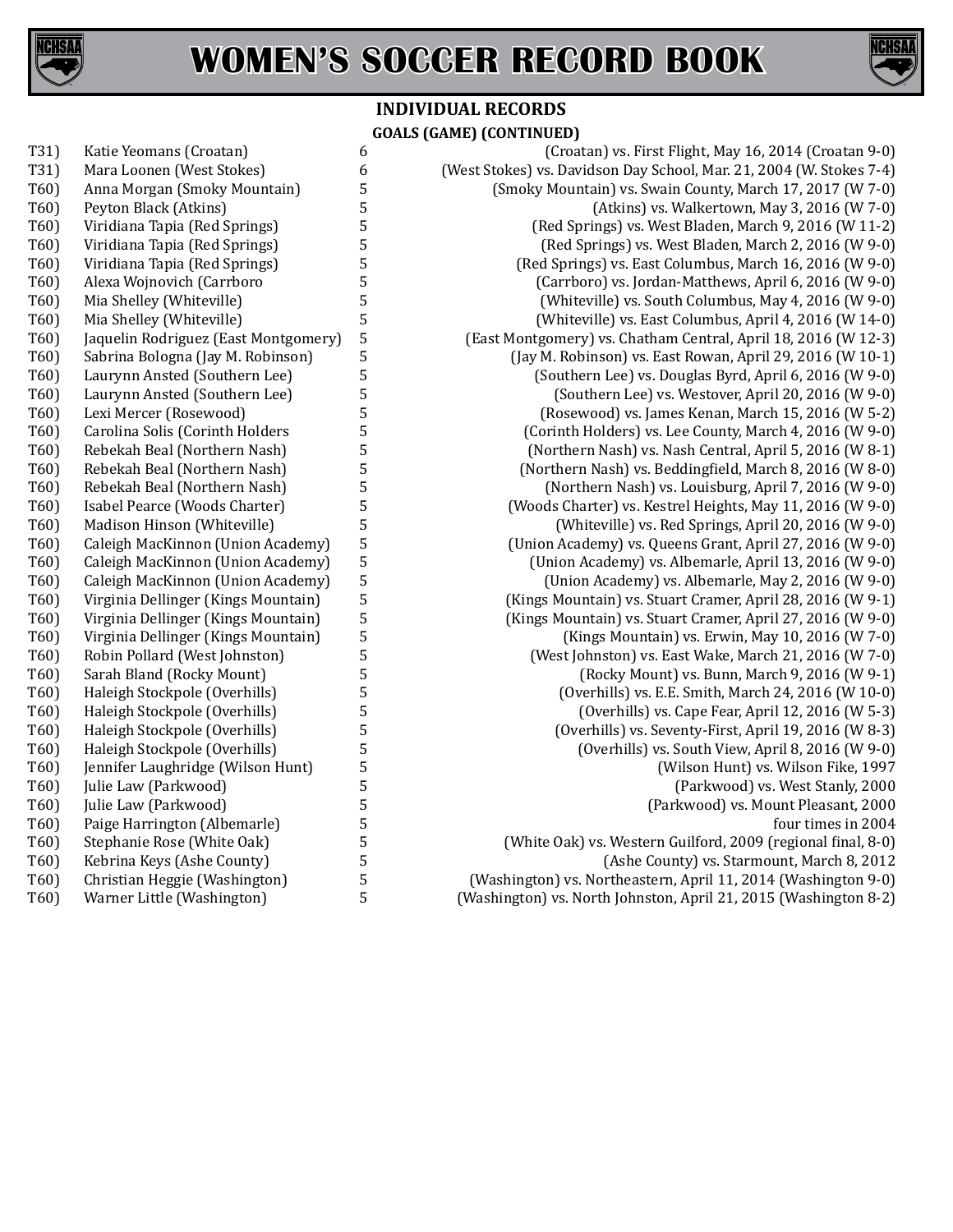



# **INDIVIDUAL RECORDS GOALS (GAME) (CONTINUED)**

| T31) | Katie Yeomans (Croatan)              |
|------|--------------------------------------|
| T31) | Mara Loonen (West Stokes)            |
| T60) | Anna Morgan (Smoky Mountain)         |
| T60) | Peyton Black (Atkins)                |
| T60) | Viridiana Tapia (Red Springs)        |
| T60) | Viridiana Tapia (Red Springs)        |
| T60) | Viridiana Tapia (Red Springs)        |
| T60) | Alexa Wojnovich (Carrboro            |
| T60) | Mia Shelley (Whiteville)             |
| T60) | Mia Shelley (Whiteville)             |
| T60) | Jaquelin Rodriguez (East Montgomery) |
| T60) | Sabrina Bologna (Jay M. Robinson)    |
| T60) | Laurynn Ansted (Southern Lee)        |
| T60) | Laurynn Ansted (Southern Lee)        |
| T60) | Lexi Mercer (Rosewood)               |
| T60) | Carolina Solis (Corinth Holders      |
| T60) | Rebekah Beal (Northern Nash)         |
| T60) | Rebekah Beal (Northern Nash)         |
| T60) | Rebekah Beal (Northern Nash)         |
| T60) | Isabel Pearce (Woods Charter)        |
| T60) | Madison Hinson (Whiteville)          |
| T60) | Caleigh MacKinnon (Union Academy)    |
| T60) | Caleigh MacKinnon (Union Academy)    |
| T60) | Caleigh MacKinnon (Union Academy)    |
| T60) | Virginia Dellinger (Kings Mountain)  |
| T60) | Virginia Dellinger (Kings Mountain)  |
| T60) | Virginia Dellinger (Kings Mountain)  |
| T60) | Robin Pollard (West Johnston)        |
| T60) | Sarah Bland (Rocky Mount)            |
| T60) | Haleigh Stockpole (Overhills)        |
| T60) | Haleigh Stockpole (Overhills)        |
| T60) | Haleigh Stockpole (Overhills)        |
| T60) | Haleigh Stockpole (Overhills)        |
| T60) | Jennifer Laughridge (Wilson Hunt)    |
| T60) | Julie Law (Parkwood)                 |
| T60) | Julie Law (Parkwood)                 |
| T60) | Paige Harrington (Albemarle)         |
| T60) | Stephanie Rose (White Oak)           |
| T60) | Kebrina Keys (Ashe County)           |
| T60) | Christian Heggie (Washington)        |
| T60) | Warner Little (Washington)           |
|      |                                      |

6 (Croatan) vs. First Flight, May 16, 2014 (Croatan 9-0)<br>6 (West Stokes) vs. Davidson Day School, Mar. 21, 2004 (W. Stokes 7-4) 6 (West Stokes) vs. Davidson Day School, Mar. 21, 2004 (W. Stokes 7-4)<br>5 (Smoky Mountain) vs. Swain County, March 17, 2017 (W 7-0) 5 (Smoky Mountain) vs. Swain County, March 17, 2017 (W 7-0)<br>5 (Atkins) vs. Walkertown, May 3, 2016 (W 7-0) T<sub>6</sub> (Atkins) vs. Walkertown, May 3, 2016 (W 7-0)<br>T<sub>6</sub> (Red Springs) vs. West Bladen, March 9, 2016 (W 11-2) T<sub>6</sub> (Red Springs) vs. West Bladen, March 9, 2016 (W 11-2)<br>T<sub>6</sub> (Red Springs) vs. West Bladen, March 2, 2016 (W 9-0) T600) 5 (Red Springs) vs. West Bladen, March 2, 2016 (W 9-0)<br>T600) 5 (Red Springs) vs. East Columbus, March 16, 2016 (W 9-0) T<sub>6</sub> (Red Springs) vs. East Columbus, March 16, 2016 (W 9-0)<br>T<sub>6</sub> (Carrboro) vs. Jordan-Matthews, April 6, 2016 (W 9-0) 5 (Carrboro) vs. Jordan-Matthews, April 6, 2016 (W 9-0)<br>(Whiteville) vs. South Columbus, May 4, 2016 (W 9-0) 5 (Whiteville) vs. South Columbus, May 4, 2016 (W 9-0)<br>5 (Whiteville) vs. East Columbus, April 4, 2016 (W 14-0) 5 (Whiteville) vs. East Columbus, April 4, 2016 (W 14-0)<br>5 (East Montgomery) vs. Chatham Central, April 18, 2016 (W 12-3) 5 (East Montgomery) vs. Chatham Central, April 18, 2016 (W 12-3)<br>(Jay M. Robinson) vs. East Rowan, April 29, 2016 (W 10-1) T600) 5 (Jay M. Robinson) vs. East Rowan, April 29, 2016 (W 10-1)<br>5 (Southern Lee) vs. Douglas Byrd, April 6, 2016 (W 9-0) 5 (Southern Lee) vs. Douglas Byrd, April 6, 2016 (W 9-0)<br>(Southern Lee) vs. Westover, April 20, 2016 (W 9-0) T600) 5 (Southern Lee) vs. Westover, April 20, 2016 (W 9-0)<br>T600) 5 (Rosewood) vs. James Kenan, March 15, 2016 (W 5-2) T<sub>6</sub> (Rosewood) vs. James Kenan, March 15, 2016 (W 5-2)<br>T<sub>6</sub> (Corinth Holders) vs. Lee County, March 4, 2016 (W 9-0) T600) 5 (Corinth Holders) vs. Lee County, March 4, 2016 (W 9-0)<br>T600) (Northern Nash) vs. Nash Central, April 5, 2016 (W 8-1) T600) 5 (Northern Nash) vs. Nash Central, April 5, 2016 (W 8-1)<br>T600) 5 (Northern Nash) vs. Beddingfield, March 8, 2016 (W 8-0) T600) 5<br>50) T600) Morthern Nash) vs. Beddingfield, March 8, 2016 (W 8-0)<br>T600) (Northern Nash) vs. Louisburg, April 7, 2016 (W 9-0) T60) Rebekah Beal (Northern Nash) 5 (Northern Nash) vs. Louisburg, April 7, 2016 (W 9-0) T<sub>6</sub> (Woods Charter) vs. Kestrel Heights, May 11, 2016 (W 9-0)<br>This (Whiteville) vs. Red Springs, April 20, 2016 (W 9-0) T600) 5 (Whiteville) vs. Red Springs, April 20, 2016 (W 9-0)<br>(Union Academy) vs. Queens Grant, April 27, 2016 (W 9-0) T<sub>6</sub> (Union Academy) vs. Queens Grant, April 27, 2016 (W 9-0)<br>
(Union Academy) vs. Albemarle, April 13, 2016 (W 9-0) T600) 5 (Union Academy) vs. Albemarle, April 13, 2016 (W 9-0)<br>T600) Union Academy) vs. Albemarle, May 2, 2016 (W 9-0) T<sub>6</sub> (Union Academy) vs. Albemarle, May 2, 2016 (W 9-0)<br>T<sub>6</sub> (Kings Mountain) vs. Stuart Cramer, April 28, 2016 (W 9-1) T<sub>6</sub> (Kings Mountain) vs. Stuart Cramer, April 28, 2016 (W 9-1)<br>T<sub>6</sub> (Kings Mountain) vs. Stuart Cramer, April 27, 2016 (W 9-0) 5 (Kings Mountain) vs. Stuart Cramer, April 27, 2016 (W 9-0)<br>(Kings Mountain) vs. Erwin, May 10, 2016 (W 7-0) T600) (Kings Mountain) vs. Erwin, May 10, 2016 (W 7-0)<br>T600) (West Johnston) vs. East Wake, March 21, 2016 (W 7-0) T600) 5 (West Johnston) vs. East Wake, March 21, 2016 (W 7-0)<br>T600 (Rocky Mount) vs. Bunn, March 9, 2016 (W 9-1) T<sub>5</sub> (Rocky Mount) vs. Bunn, March 9, 2016 (W 9-1)<br>
(Overhills) vs. E.E. Smith, March 24, 2016 (W 10-0) T600) 5 (Overhills) vs. E.E. Smith, March 24, 2016 (W 10-0)<br>T600 (Overhills) vs. Cape Fear, April 12, 2016 (W 5-3) T<sub>6</sub> (Overhills) vs. Cape Fear, April 12, 2016 (W 5-3)<br>
F<sub>6</sub> (Overhills) vs. Seventy-First, April 19, 2016 (W 8-3) The T60 (Overhills) vs. Seventy-First, April 19, 2016 (W 8-3)<br>The T60 (Overhills) vs. South View, April 8, 2016 (W 9-0) T600) 5 (Overhills) vs. South View, April 8, 2016 (W 9-0)<br>T600) 5 (Wilson Hunt) vs. Wilson Fike, 1997 T600) 5 (Wilson Hunt) vs. Wilson Fike, 1997<br>T6000) 5 (Parkwood) vs. West Stanly, 2000 T600) Julie Law (Parkwood) vs. West Stanly, 2000<br>T600) Julie Law (Parkwood) vs. Mount Pleasant, 2000 T600) Julie 2000 (Parkwood) vs. Mount Pleasant, 2000<br>four times in 2004 T60) Paige Harrington (Albemarle) 5 four times in 2004 5 (White Oak) vs. Western Guilford, 2009 (regional final, 8-0)<br>(Ashe County) vs. Starmount, March 8, 2012 T<sub>6</sub> (Ashe County) vs. Starmount, March 8, 2012<br>T<sub>6</sub> (Washington) vs. Northeastern, April 11, 2014 (Washington 9-0)

Technology (Washington) vs. Northeastern, April 11, 2014 (Washington 9-0)<br>1990) Technology (Washington) vs. North Johnston, April 21, 2015 (Washington 8-2) (Washington) vs. North Johnston, April 21, 2015 (Washington 8-2)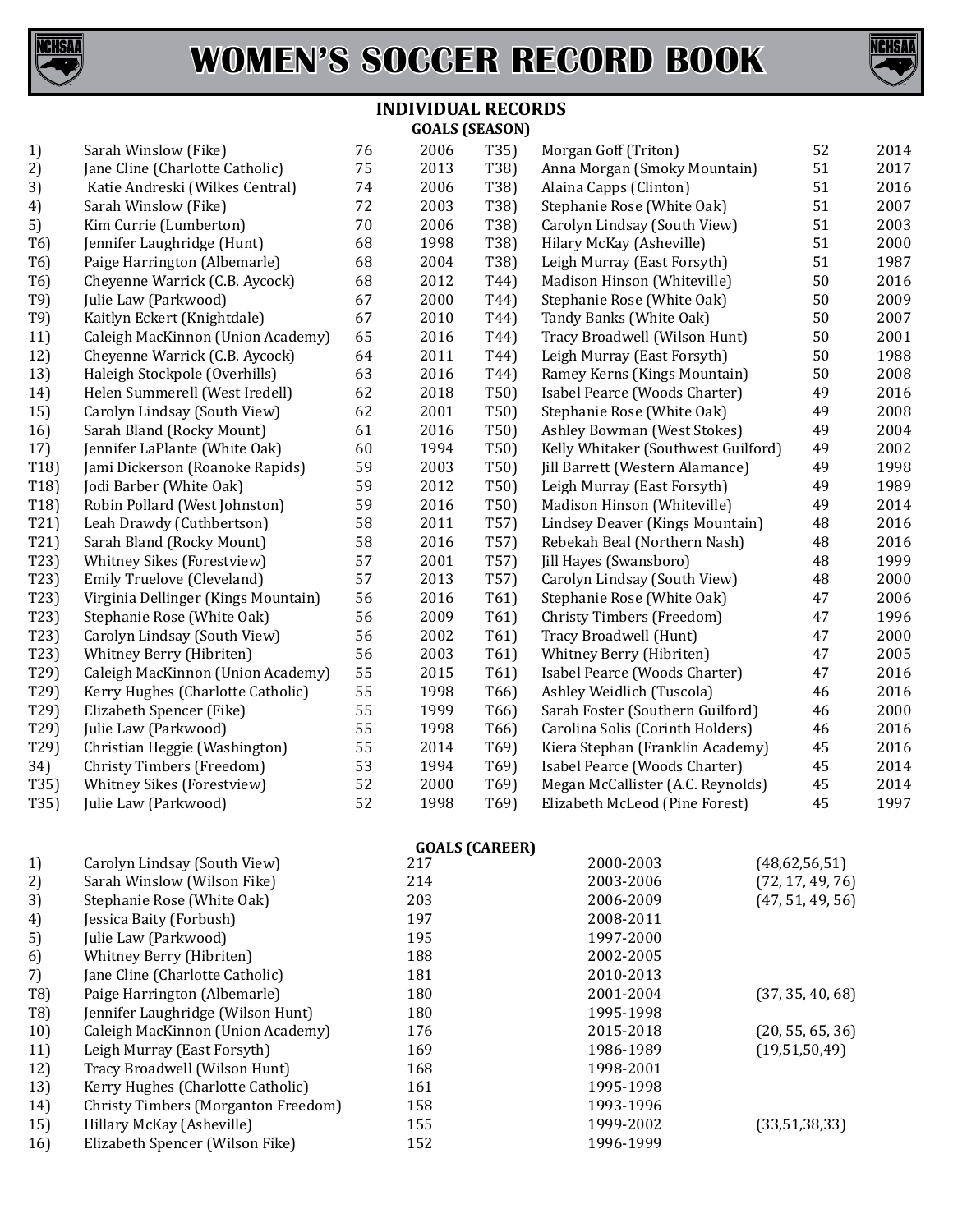



#### **INDIVIDUAL RECORDS GOALS (SEASON)**

| 1)               | Sarah Winslow (Fike)                | 76 | 2006 | T35)              | Morgan Goff (Triton)                | 52 | 2014 |
|------------------|-------------------------------------|----|------|-------------------|-------------------------------------|----|------|
| 2)               | Jane Cline (Charlotte Catholic)     | 75 | 2013 | T38)              | Anna Morgan (Smoky Mountain)        | 51 | 2017 |
| 3)               | Katie Andreski (Wilkes Central)     | 74 | 2006 | T38)              | Alaina Capps (Clinton)              | 51 | 2016 |
| 4)               | Sarah Winslow (Fike)                | 72 | 2003 | T38)              | Stephanie Rose (White Oak)          | 51 | 2007 |
| 5)               | Kim Currie (Lumberton)              | 70 | 2006 | T38)              | Carolyn Lindsay (South View)        | 51 | 2003 |
| T <sub>6</sub> ) | Jennifer Laughridge (Hunt)          | 68 | 1998 | T38)              | Hilary McKay (Asheville)            | 51 | 2000 |
| T <sub>6</sub> ) | Paige Harrington (Albemarle)        | 68 | 2004 | T38)              | Leigh Murray (East Forsyth)         | 51 | 1987 |
| T <sub>6</sub> ) | Cheyenne Warrick (C.B. Aycock)      | 68 | 2012 | T44)              | Madison Hinson (Whiteville)         | 50 | 2016 |
| T9)              | Julie Law (Parkwood)                | 67 | 2000 | T44)              | Stephanie Rose (White Oak)          | 50 | 2009 |
| T9)              | Kaitlyn Eckert (Knightdale)         | 67 | 2010 | T44)              | Tandy Banks (White Oak)             | 50 | 2007 |
| 11)              | Caleigh MacKinnon (Union Academy)   | 65 | 2016 | T44)              | Tracy Broadwell (Wilson Hunt)       | 50 | 2001 |
| 12)              | Cheyenne Warrick (C.B. Aycock)      | 64 | 2011 | T44)              | Leigh Murray (East Forsyth)         | 50 | 1988 |
| 13)              | Haleigh Stockpole (Overhills)       | 63 | 2016 | T44)              | Ramey Kerns (Kings Mountain)        | 50 | 2008 |
| 14)              | Helen Summerell (West Iredell)      | 62 | 2018 | T50)              | Isabel Pearce (Woods Charter)       | 49 | 2016 |
| 15)              | Carolyn Lindsay (South View)        | 62 | 2001 | T50)              | Stephanie Rose (White Oak)          | 49 | 2008 |
| 16)              | Sarah Bland (Rocky Mount)           | 61 | 2016 | T50)              | Ashley Bowman (West Stokes)         | 49 | 2004 |
| 17)              | Jennifer LaPlante (White Oak)       | 60 | 1994 | T50)              | Kelly Whitaker (Southwest Guilford) | 49 | 2002 |
| T18              | Jami Dickerson (Roanoke Rapids)     | 59 | 2003 | T50)              | Jill Barrett (Western Alamance)     | 49 | 1998 |
| T18)             | Jodi Barber (White Oak)             | 59 | 2012 | T50)              | Leigh Murray (East Forsyth)         | 49 | 1989 |
| T18)             | Robin Pollard (West Johnston)       | 59 | 2016 | T50)              | Madison Hinson (Whiteville)         | 49 | 2014 |
| T21)             | Leah Drawdy (Cuthbertson)           | 58 | 2011 | T57)              | Lindsey Deaver (Kings Mountain)     | 48 | 2016 |
| T21)             | Sarah Bland (Rocky Mount)           | 58 | 2016 | T57)              | Rebekah Beal (Northern Nash)        | 48 | 2016 |
| T23)             | Whitney Sikes (Forestview)          | 57 | 2001 | T57)              | Jill Hayes (Swansboro)              | 48 | 1999 |
| T23)             | Emily Truelove (Cleveland)          | 57 | 2013 | T57)              | Carolyn Lindsay (South View)        | 48 | 2000 |
| T23)             | Virginia Dellinger (Kings Mountain) | 56 | 2016 | T61)              | Stephanie Rose (White Oak)          | 47 | 2006 |
| T23)             | Stephanie Rose (White Oak)          | 56 | 2009 | T61)              | Christy Timbers (Freedom)           | 47 | 1996 |
| T23)             | Carolyn Lindsay (South View)        | 56 | 2002 | T61)              | Tracy Broadwell (Hunt)              | 47 | 2000 |
| T23)             | Whitney Berry (Hibriten)            | 56 | 2003 | T61)              | Whitney Berry (Hibriten)            | 47 | 2005 |
| T29)             | Caleigh MacKinnon (Union Academy)   | 55 | 2015 | T61)              | Isabel Pearce (Woods Charter)       | 47 | 2016 |
| T29)             | Kerry Hughes (Charlotte Catholic)   | 55 | 1998 | T <sub>66</sub> ) | Ashley Weidlich (Tuscola)           | 46 | 2016 |
| T29)             | Elizabeth Spencer (Fike)            | 55 | 1999 | T <sub>66</sub> ) | Sarah Foster (Southern Guilford)    | 46 | 2000 |
| T29)             | Julie Law (Parkwood)                | 55 | 1998 | T <sub>66</sub> ) | Carolina Solis (Corinth Holders)    | 46 | 2016 |
| T29)             | Christian Heggie (Washington)       | 55 | 2014 | T69)              | Kiera Stephan (Franklin Academy)    | 45 | 2016 |
| 34)              | Christy Timbers (Freedom)           | 53 | 1994 | T69)              | Isabel Pearce (Woods Charter)       | 45 | 2014 |
| T35)             | Whitney Sikes (Forestview)          | 52 | 2000 | T69)              | Megan McCallister (A.C. Reynolds)   | 45 | 2014 |
| T35)             | Julie Law (Parkwood)                | 52 | 1998 | T69)              | Elizabeth McLeod (Pine Forest)      | 45 | 1997 |
|                  |                                     |    |      |                   |                                     |    |      |

**GOALS (CAREER)**

| 1)  | Carolyn Lindsay (South View)        | 217 | 2000-2003 | (48,62,56,51)    |
|-----|-------------------------------------|-----|-----------|------------------|
| 2)  | Sarah Winslow (Wilson Fike)         | 214 | 2003-2006 | (72, 17, 49, 76) |
| 3)  | Stephanie Rose (White Oak)          | 203 | 2006-2009 | (47, 51, 49, 56) |
| 4)  | Jessica Baity (Forbush)             | 197 | 2008-2011 |                  |
| 5)  | Julie Law (Parkwood)                | 195 | 1997-2000 |                  |
| 6)  | Whitney Berry (Hibriten)            | 188 | 2002-2005 |                  |
| 7)  | Jane Cline (Charlotte Catholic)     | 181 | 2010-2013 |                  |
| T8) | Paige Harrington (Albemarle)        | 180 | 2001-2004 | (37, 35, 40, 68) |
| T8) | Jennifer Laughridge (Wilson Hunt)   | 180 | 1995-1998 |                  |
| 10) | Caleigh MacKinnon (Union Academy)   | 176 | 2015-2018 | (20, 55, 65, 36) |
| 11) | Leigh Murray (East Forsyth)         | 169 | 1986-1989 | (19,51,50,49)    |
| 12) | Tracy Broadwell (Wilson Hunt)       | 168 | 1998-2001 |                  |
| 13) | Kerry Hughes (Charlotte Catholic)   | 161 | 1995-1998 |                  |
| 14) | Christy Timbers (Morganton Freedom) | 158 | 1993-1996 |                  |
| 15) | Hillary McKay (Asheville)           | 155 | 1999-2002 | (33,51,38,33)    |
| 16) | Elizabeth Spencer (Wilson Fike)     | 152 | 1996-1999 |                  |
|     |                                     |     |           |                  |